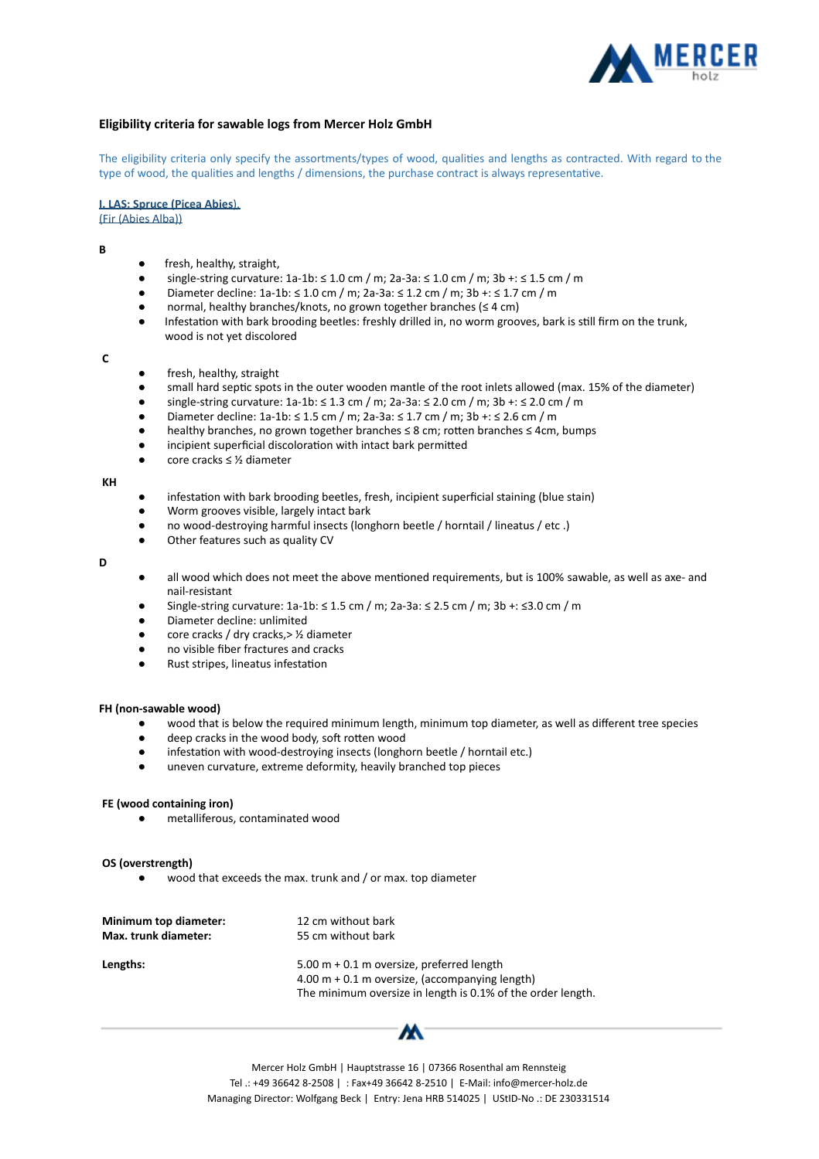

# **Eligibility criteria for sawable logs from Mercer Holz GmbH**

The eligibility criteria only specify the assortments/types of wood, qualities and lengths as contracted. With regard to the type of wood, the qualities and lengths / dimensions, the purchase contract is always representative.

**I. LAS: Spruce (Picea Abies),** 

(Fir (Abies Alba))

**B** 

- fresh, healthy, straight,
- single-string curvature:  $1a-1b: ≤ 1.0$  cm / m;  $2a-3a: ≤ 1.0$  cm / m;  $3b +: ≤ 1.5$  cm / m
- Diameter decline: 1a-1b: ≤ 1.0 cm / m; 2a-3a: ≤ 1.2 cm / m ; 3b +: ≤ 1.7 cm / m
- normal, healthy branches/knots, no grown together branches ( $\leq 4$  cm)
- Infestation with bark brooding beetles: freshly drilled in, no worm grooves, bark is still firm on the trunk, wood is not yet discolored

**C** 

- fresh, healthy, straight
- small hard septic spots in the outer wooden mantle of the root inlets allowed (max. 15% of the diameter)
- single-string curvature: 1a-1b: ≤ 1.3 cm / m; 2a-3a: ≤ 2.0 cm / m; 3b +: ≤ 2.0 cm / m
- Diameter decline: 1a-1b: ≤ 1.5 cm / m; 2a-3a: ≤ 1.7 cm / m; 3b +: ≤ 2.6 cm / m
- healthy branches, no grown together branches  $\leq$  8 cm; rotten branches  $\leq$  4cm, bumps
- incipient superficial discoloration with intact bark permitted
- core cracks ≤ ½ diameter

## **KH**

- infestation with bark brooding beetles, fresh, incipient superficial staining (blue stain)
- Worm grooves visible, largely intact bark
- no wood-destroying harmful insects (longhorn beetle / horntail / lineatus / etc .)
- Other features such as quality CV

#### **D**

- all wood which does not meet the above mentioned requirements, but is 100% sawable, as well as axe- and nail-resistant
- Single-string curvature: 1a-1b: ≤ 1.5 cm / m; 2a-3a: ≤ 2.5 cm / m; 3b +: ≤3.0 cm / m
- Diameter decline: unlimited
- core cracks / dry cracks,> ½ diameter
- no visible fiber fractures and cracks
- Rust stripes, lineatus infestation

## **FH (non-sawable wood)**

- wood that is below the required minimum length, minimum top diameter, as well as different tree species
- deep cracks in the wood body, soft rotten wood
- infestation with wood-destroying insects (longhorn beetle / horntail etc.)
- uneven curvature, extreme deformity, heavily branched top pieces

# **FE (wood containing iron)**

● metalliferous, contaminated wood

# **OS (overstrength)**

wood that exceeds the max. trunk and / or max. top diameter

| Minimum top diameter: | 12 cm without bark                                                                                                                                             |
|-----------------------|----------------------------------------------------------------------------------------------------------------------------------------------------------------|
| Max. trunk diameter:  | 55 cm without bark                                                                                                                                             |
| Lengths:              | $5.00$ m + 0.1 m oversize, preferred length<br>4.00 m $+$ 0.1 m oversize, (accompanying length)<br>The minimum oversize in length is 0.1% of the order length. |

Mercer Holz GmbH | Hauptstrasse 16 | 07366 Rosenthal am Rennsteig Tel .: +49 36642 8-2508 | : Fax+49 36642 8-2510 | E-Mail: info@mercer-holz.de Managing Director: Wolfgang Beck | Entry: Jena HRB 514025 | UStID-No .: DE 230331514

м